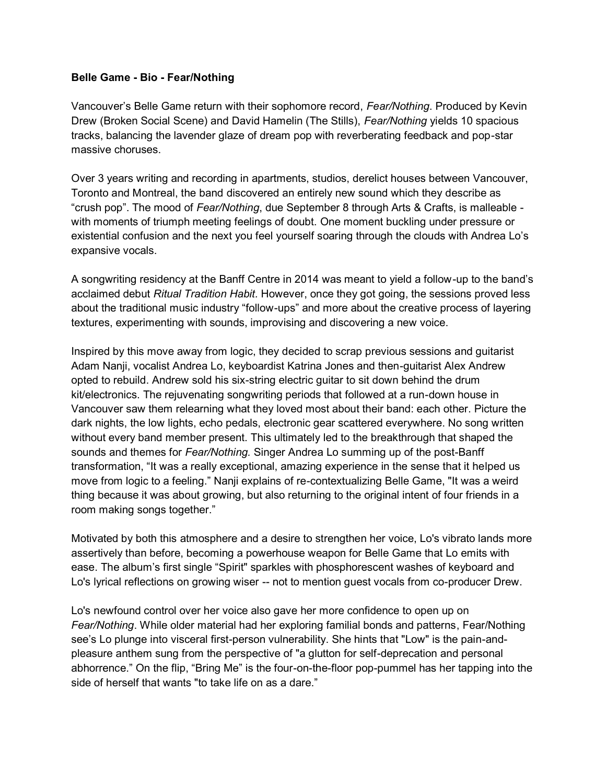## **Belle Game - Bio - Fear/Nothing**

Vancouver's Belle Game return with their sophomore record, *Fear/Nothing*. Produced by Kevin Drew (Broken Social Scene) and David Hamelin (The Stills), *Fear/Nothing* yields 10 spacious tracks, balancing the lavender glaze of dream pop with reverberating feedback and pop-star massive choruses.

Over 3 years writing and recording in apartments, studios, derelict houses between Vancouver, Toronto and Montreal, the band discovered an entirely new sound which they describe as "crush pop". The mood of *Fear/Nothing*, due September 8 through Arts & Crafts, is malleable with moments of triumph meeting feelings of doubt. One moment buckling under pressure or existential confusion and the next you feel yourself soaring through the clouds with Andrea Lo's expansive vocals.

A songwriting residency at the Banff Centre in 2014 was meant to yield a follow-up to the band's acclaimed debut *Ritual Tradition Habit.* However, once they got going, the sessions proved less about the traditional music industry "follow-ups" and more about the creative process of layering textures, experimenting with sounds, improvising and discovering a new voice.

Inspired by this move away from logic, they decided to scrap previous sessions and guitarist Adam Nanji, vocalist Andrea Lo, keyboardist Katrina Jones and then-guitarist Alex Andrew opted to rebuild. Andrew sold his six-string electric guitar to sit down behind the drum kit/electronics. The rejuvenating songwriting periods that followed at a run-down house in Vancouver saw them relearning what they loved most about their band: each other. Picture the dark nights, the low lights, echo pedals, electronic gear scattered everywhere. No song written without every band member present. This ultimately led to the breakthrough that shaped the sounds and themes for *Fear/Nothing.* Singer Andrea Lo summing up of the post-Banff transformation, "It was a really exceptional, amazing experience in the sense that it helped us move from logic to a feeling." Nanji explains of re-contextualizing Belle Game, "It was a weird thing because it was about growing, but also returning to the original intent of four friends in a room making songs together."

Motivated by both this atmosphere and a desire to strengthen her voice, Lo's vibrato lands more assertively than before, becoming a powerhouse weapon for Belle Game that Lo emits with ease. The album's first single "Spirit" sparkles with phosphorescent washes of keyboard and Lo's lyrical reflections on growing wiser -- not to mention guest vocals from co-producer Drew.

Lo's newfound control over her voice also gave her more confidence to open up on *Fear/Nothing*. While older material had her exploring familial bonds and patterns, Fear/Nothing see's Lo plunge into visceral first-person vulnerability. She hints that "Low" is the pain-andpleasure anthem sung from the perspective of "a glutton for self-deprecation and personal abhorrence." On the flip, "Bring Me" is the four-on-the-floor pop-pummel has her tapping into the side of herself that wants "to take life on as a dare."